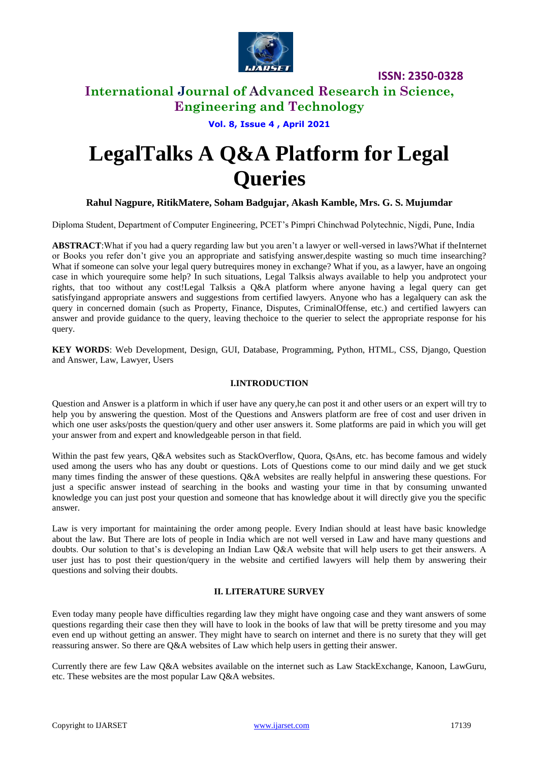

## **International Journal of Advanced Research in Science, Engineering and Technology**

#### **Vol. 8, Issue 4 , April 2021**

# **LegalTalks A Q&A Platform for Legal Queries**

#### **Rahul Nagpure, RitikMatere, Soham Badgujar, Akash Kamble, Mrs. G. S. Mujumdar**

Diploma Student, Department of Computer Engineering, PCET's Pimpri Chinchwad Polytechnic, Nigdi, Pune, India

**ABSTRACT**:What if you had a query regarding law but you aren't a lawyer or well-versed in laws?What if theInternet or Books you refer don't give you an appropriate and satisfying answer,despite wasting so much time insearching? What if someone can solve your legal query butrequires money in exchange? What if you, as a lawyer, have an ongoing case in which yourequire some help? In such situations, Legal Talksis always available to help you andprotect your rights, that too without any cost!Legal Talksis a Q&A platform where anyone having a legal query can get satisfyingand appropriate answers and suggestions from certified lawyers. Anyone who has a legalquery can ask the query in concerned domain (such as Property, Finance, Disputes, CriminalOffense, etc.) and certified lawyers can answer and provide guidance to the query, leaving thechoice to the querier to select the appropriate response for his query.

**KEY WORDS**: Web Development, Design, GUI, Database, Programming, Python, HTML, CSS, Django, Question and Answer, Law, Lawyer, Users

#### **I.INTRODUCTION**

Question and Answer is a platform in which if user have any query,he can post it and other users or an expert will try to help you by answering the question. Most of the Questions and Answers platform are free of cost and user driven in which one user asks/posts the question/query and other user answers it. Some platforms are paid in which you will get your answer from and expert and knowledgeable person in that field.

Within the past few years, Q&A websites such as StackOverflow, Quora, QsAns, etc. has become famous and widely used among the users who has any doubt or questions. Lots of Questions come to our mind daily and we get stuck many times finding the answer of these questions. Q&A websites are really helpful in answering these questions. For just a specific answer instead of searching in the books and wasting your time in that by consuming unwanted knowledge you can just post your question and someone that has knowledge about it will directly give you the specific answer.

Law is very important for maintaining the order among people. Every Indian should at least have basic knowledge about the law. But There are lots of people in India which are not well versed in Law and have many questions and doubts. Our solution to that's is developing an Indian Law Q&A website that will help users to get their answers. A user just has to post their question/query in the website and certified lawyers will help them by answering their questions and solving their doubts.

#### **II. LITERATURE SURVEY**

Even today many people have difficulties regarding law they might have ongoing case and they want answers of some questions regarding their case then they will have to look in the books of law that will be pretty tiresome and you may even end up without getting an answer. They might have to search on internet and there is no surety that they will get reassuring answer. So there are Q&A websites of Law which help users in getting their answer.

Currently there are few Law Q&A websites available on the internet such as Law StackExchange, Kanoon, LawGuru, etc. These websites are the most popular Law Q&A websites.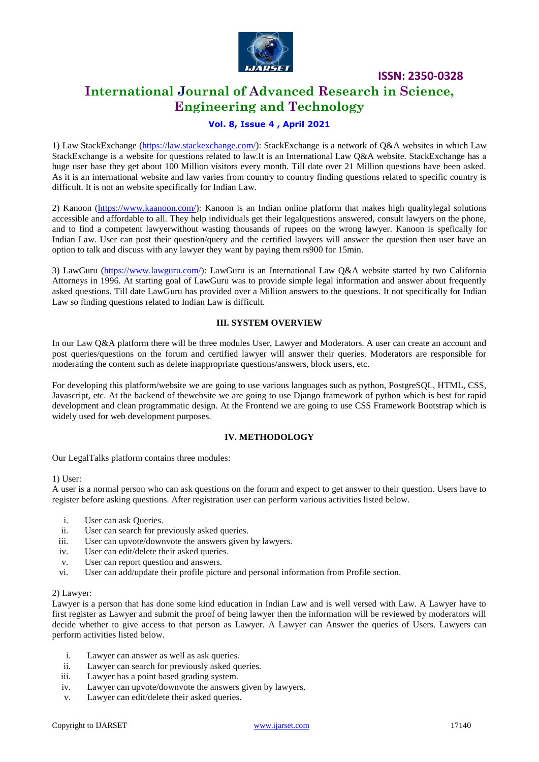

## **International Journal of Advanced Research in Science, Engineering and Technology**

#### **Vol. 8, Issue 4 , April 2021**

1) Law StackExchange [\(https://law.stackexchange.com/\)](https://law.stackexchange.com/): StackExchange is a network of Q&A websites in which Law StackExchange is a website for questions related to law.It is an International Law Q&A website. StackExchange has a huge user base they get about 100 Million visitors every month. Till date over 21 Million questions have been asked. As it is an international website and law varies from country to country finding questions related to specific country is difficult. It is not an website specifically for Indian Law.

2) Kanoon [\(https://www.kaanoon.com/\)](https://www.kaanoon.com/): Kanoon is an Indian online platform that makes high qualitylegal solutions accessible and affordable to all. They help individuals get their legalquestions answered, consult lawyers on the phone, and to find a competent lawyerwithout wasting thousands of rupees on the wrong lawyer. Kanoon is spefically for Indian Law. User can post their question/query and the certified lawyers will answer the question then user have an option to talk and discuss with any lawyer they want by paying them rs900 for 15min.

3) LawGuru [\(https://www.lawguru.com/\)](https://www.lawguru.com/): LawGuru is an International Law Q&A website started by two California Attorneys in 1996. At starting goal of LawGuru was to provide simple legal information and answer about frequently asked questions. Till date LawGuru has provided over a Million answers to the questions. It not specifically for Indian Law so finding questions related to Indian Law is difficult.

#### **III. SYSTEM OVERVIEW**

In our Law Q&A platform there will be three modules User, Lawyer and Moderators. A user can create an account and post queries/questions on the forum and certified lawyer will answer their queries. Moderators are responsible for moderating the content such as delete inappropriate questions/answers, block users, etc.

For developing this platform/website we are going to use various languages such as python, PostgreSQL, HTML, CSS, Javascript, etc. At the backend of thewebsite we are going to use Django framework of python which is best for rapid development and clean programmatic design. At the Frontend we are going to use CSS Framework Bootstrap which is widely used for web development purposes.

#### **IV. METHODOLOGY**

Our LegalTalks platform contains three modules:

#### 1) User:

A user is a normal person who can ask questions on the forum and expect to get answer to their question. Users have to register before asking questions. After registration user can perform various activities listed below.

- i. User can ask Queries.
- ii. User can search for previously asked queries.
- iii. User can upvote/downvote the answers given by lawyers.
- iv. User can edit/delete their asked queries.
- v. User can report question and answers.
- vi. User can add/update their profile picture and personal information from Profile section.

#### 2) Lawyer:

Lawyer is a person that has done some kind education in Indian Law and is well versed with Law. A Lawyer have to first register as Lawyer and submit the proof of being lawyer then the information will be reviewed by moderators will decide whether to give access to that person as Lawyer. A Lawyer can Answer the queries of Users. Lawyers can perform activities listed below.

- i. Lawyer can answer as well as ask queries.
- ii. Lawyer can search for previously asked queries.
- iii. Lawyer has a point based grading system.
- iv. Lawyer can upvote/downvote the answers given by lawyers.
- v. Lawyer can edit/delete their asked queries.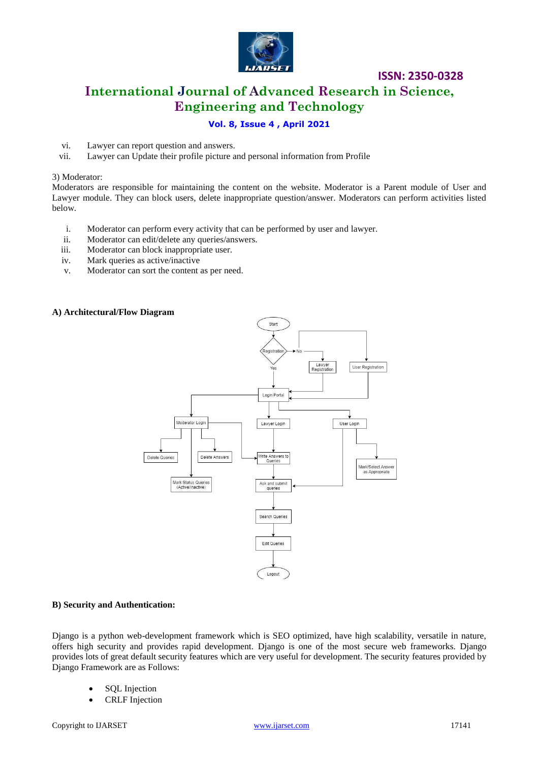

# **International Journal of Advanced Research in Science, Engineering and Technology**

**ISSN: 2350-0328**

#### **Vol. 8, Issue 4 , April 2021**

- vi. Lawyer can report question and answers.
- vii. Lawyer can Update their profile picture and personal information from Profile

#### 3) Moderator:

Moderators are responsible for maintaining the content on the website. Moderator is a Parent module of User and Lawyer module. They can block users, delete inappropriate question/answer. Moderators can perform activities listed below.

- i. Moderator can perform every activity that can be performed by user and lawyer.
- ii. Moderator can edit/delete any queries/answers.
- iii. Moderator can block inappropriate user.
- iv. Mark queries as active/inactive
- v. Moderator can sort the content as per need.

#### **A) Architectural/Flow Diagram**



#### **B) Security and Authentication:**

Django is a python web-development framework which is SEO optimized, have high scalability, versatile in nature, offers high security and provides rapid development. Django is one of the most secure web frameworks. Django provides lots of great default security features which are very useful for development. The security features provided by Django Framework are as Follows:

- SQL Injection
- CRLF Injection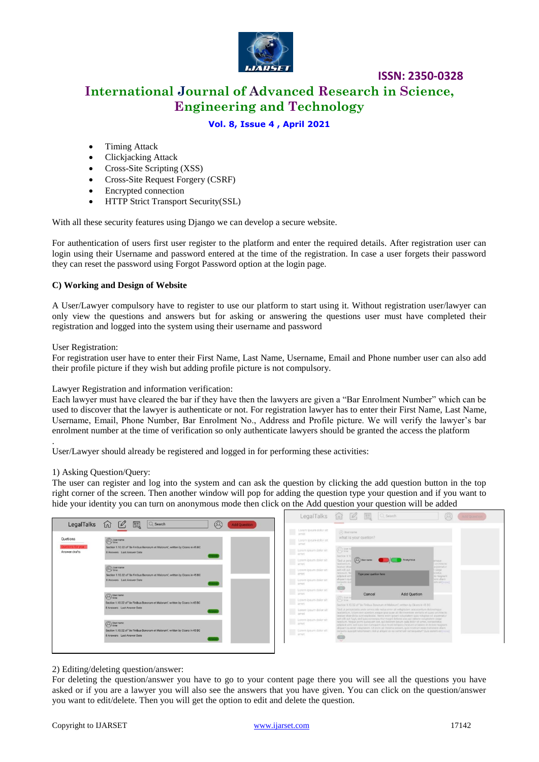

# **International Journal of Advanced Research in Science, Engineering and Technology**

**ISSN: 2350-0328**

#### **Vol. 8, Issue 4 , April 2021**

- Timing Attack
- Clickjacking Attack
- Cross-Site Scripting (XSS)
- Cross-Site Request Forgery (CSRF)
- Encrypted connection
- HTTP Strict Transport Security(SSL)

With all these security features using Django we can develop a secure website.

For authentication of users first user register to the platform and enter the required details. After registration user can login using their Username and password entered at the time of the registration. In case a user forgets their password they can reset the password using Forgot Password option at the login page.

#### **C) Working and Design of Website**

A User/Lawyer compulsory have to register to use our platform to start using it. Without registration user/lawyer can only view the questions and answers but for asking or answering the questions user must have completed their registration and logged into the system using their username and password

User Registration:

.

For registration user have to enter their First Name, Last Name, Username, Email and Phone number user can also add their profile picture if they wish but adding profile picture is not compulsory.

Lawyer Registration and information verification:

Each lawyer must have cleared the bar if they have then the lawyers are given a "Bar Enrolment Number" which can be used to discover that the lawyer is authenticate or not. For registration lawyer has to enter their First Name, Last Name, Username, Email, Phone Number, Bar Enrolment No., Address and Profile picture. We will verify the lawyer's bar enrolment number at the time of verification so only authenticate lawyers should be granted the access the platform

User/Lawyer should already be registered and logged in for performing these activities:

#### 1) Asking Question/Query:

The user can register and log into the system and can ask the question by clicking the add question button in the top right corner of the screen. Then another window will pop for adding the question type your question and if you want to hide your identity you can turn on anonymous mode then click on the Add question your question will be added

| LegalTalks                     | $\overline{Q}$ Search<br>@                                                                                                                                                                           |                                                                          | LegalTalks $\widehat{M}$ $\widehat{M}$ $\widehat{M}$ $\widehat{M}$ $\widehat{M}$<br>(0)                                                                                                                                                                                                                                                                                                                                                                                                                                                                                      | Add Question |  |
|--------------------------------|------------------------------------------------------------------------------------------------------------------------------------------------------------------------------------------------------|--------------------------------------------------------------------------|------------------------------------------------------------------------------------------------------------------------------------------------------------------------------------------------------------------------------------------------------------------------------------------------------------------------------------------------------------------------------------------------------------------------------------------------------------------------------------------------------------------------------------------------------------------------------|--------------|--|
| Quetions                       | $\boxed{\mathscr{Q}}$<br>鳳<br>⑪<br><b>Add Question</b><br><b><i>A</i></b> Liser name<br>Section 1.10.32 of "de Finibus Bonorum et Malorum", written by Cicero in 45 BC<br>8 Answers Last Answer Date | Lorem ipsum dolor sit<br>Lorem ipsum dolor sit<br><b>Same</b>            | (Fi) User name<br>what is your quetion?                                                                                                                                                                                                                                                                                                                                                                                                                                                                                                                                      |              |  |
| tions for you<br>Answer drafts |                                                                                                                                                                                                      | Lorem ipsum dolor sit<br>amet<br>Lorem ipsum dolor sit                   | <sup>(</sup> C) liner nu<br>Section 1:11<br>a <i>User name</i><br>Anonymous                                                                                                                                                                                                                                                                                                                                                                                                                                                                                                  |              |  |
|                                | <b>Q</b> User name<br>Section 1.10.32 of "de Finibus Bonorum et Malorum", written by Cicero in 45 BC<br><b>B Answers</b> Last Answer Date                                                            | arnet<br>Lorem ipsum dolor sit<br>amet<br>Lorem ipsum dolor sit          | "Sed ut pern<br>mque:<br>taudantium.<br>architecto<br>beatas vitae<br>aspernatur.<br>aut odit aut<br><b>Inperior</b><br>nesciunt. Ne<br><b>betetur</b> ,<br>Type your quetion here<br>adipisci velit<br>re magnam<br>sem ullam<br>aliquam qui<br>lern vellmone<br>corporis su                                                                                                                                                                                                                                                                                                |              |  |
|                                | <b>D</b> User name<br>Section 1.10.32 of 'de Finibus Bonorum et Malorum', written by Cloero in 45 BC                                                                                                 | amet<br>Lorem ipsum dolor sit<br>amet<br>Lorem ipsum dolor sit<br>arriet | <b>TANK</b><br><b>CED</b><br><b>CONTRACTOR</b><br>Cancel<br><b>Add Quetion</b><br><b><i>A</i></b> time<br>Section 1.10.32 of "de Finibus Bonorum et Malorum", written by Cicero in 45 BC                                                                                                                                                                                                                                                                                                                                                                                     |              |  |
|                                | <b>RAnswers</b> Last Answer Date<br>(C) ther name                                                                                                                                                    | Lorem insum dolor sit<br>arrived<br>Lorem ipsum dolor sit<br>amet        | "Sed ut perspiciatis unde omnis late natus error sit voluptatem accusantum doloremque<br>laudantium, totam rem aperiam, eague ipsa quae ab illo inventore veritatis et quasi architecto<br>beatse vitae dicta sunt explicabo. Nemo enim ipsam voluptatem quis voluptas sit aspernatur<br>aut odit aut fugit, sed quia consequuntur magni dolores eos qui ratione voluptaters segui<br>nesciunt. Neque porro quisquam est, qui dolorem ipsum quia dolor sit amet, consectetur,<br>adipisol vehit, sed quia non numquam eiun modi tempora incidunt ut labore et dolore magnam- |              |  |
|                                | Section 1.10.32 of "de Finibus Bonorum et Malorum", written by Cicero in 45 BC<br>8 Answers Last Answer Date                                                                                         | <b>THE Lorem losum dolor sit.</b><br>amet                                | aliquam quaerat voluptation. Ut enim ad minima veniam, quis nostrum exercitationem ullam<br>corporis suscipit laboriosam, nisi ut aliquid ex ea commodi consequatur? Quis autem velonore!<br>ò<br>$\sim$                                                                                                                                                                                                                                                                                                                                                                     |              |  |

#### 2) Editing/deleting question/answer:

For deleting the question/answer you have to go to your content page there you will see all the questions you have asked or if you are a lawyer you will also see the answers that you have given. You can click on the question/answer you want to edit/delete. Then you will get the option to edit and delete the question.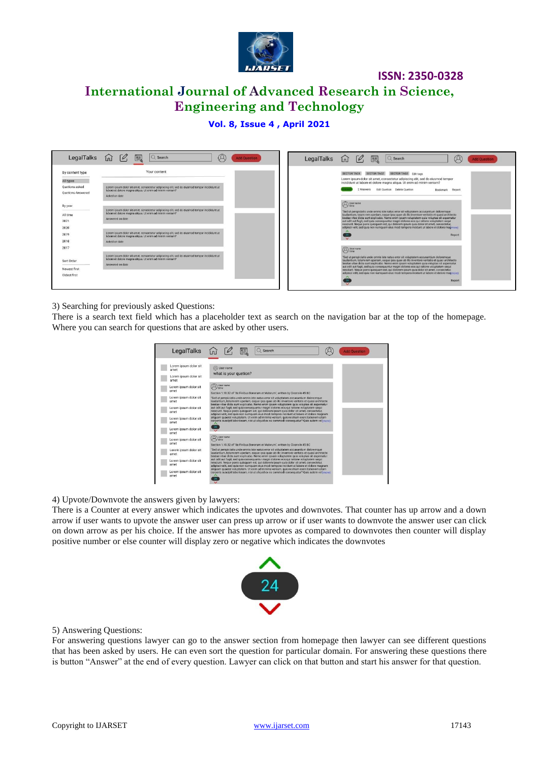

# **International Journal of Advanced Research in Science, Engineering and Technology**

#### **Vol. 8, Issue 4 , April 2021**

| LegalTalks                                                                 | 匡<br>$\lceil \mathcal{O} \rceil$<br>$Q$ Search<br>Ώ<br>ίnÌ                                                                                                                                                                                                                                                                                              | LegalTalks<br><b>Add Question</b> | $\alpha$<br>Q Search<br>鳳<br>ínì<br>$\omega$                                                                                                                                                                                                                                                                                                                                                                                                                                                                                                                                                                                               |  |
|----------------------------------------------------------------------------|---------------------------------------------------------------------------------------------------------------------------------------------------------------------------------------------------------------------------------------------------------------------------------------------------------------------------------------------------------|-----------------------------------|--------------------------------------------------------------------------------------------------------------------------------------------------------------------------------------------------------------------------------------------------------------------------------------------------------------------------------------------------------------------------------------------------------------------------------------------------------------------------------------------------------------------------------------------------------------------------------------------------------------------------------------------|--|
| By content type<br>All types<br>Quetions asked<br><b>Ouetions Answered</b> | Your content<br>Lorem ipsum dolor sit amet, consectetur adipiscing elit, sed do eiusmod tempor incididunt ut<br>labore et dolore magna aliqua. Ut enim ad minim veniam?<br>Asked on date                                                                                                                                                                |                                   | SECTOR TAG3 Edit tags<br>SECTOR TAG2<br>SECTOR TAG1<br>Lorem ipsum dolor sit amet, consectetur adipiscing elit, sed do eiusmod tempor<br>incididunt ut labore et dolore magna aliqua. Ut enim ad minim veniam?<br>2 Answers<br>Edit Quetion Delete Quetion<br>Bookmark Report                                                                                                                                                                                                                                                                                                                                                              |  |
| By year<br>All time<br>2021<br>2020<br>2019<br>2018                        | Lorem ipsum dolor sit amet, consectetur adipiscing elit, sed do eiusmod tempor incididunt ut<br>labore et dolore magna aliqua. Ut enim ad minim veniam?<br>Answered on date<br>Lorem ipsum dolor sit amet, consectetur adipiscing elit, sed do eiusmod tempor incididunt ut<br>labore et dolore magna aliqua. Ut enim ad minim veniam?<br>Asked on date |                                   | <sup>O</sup> time<br>"Sed ut perspiciatis unde omnis iste natus error sit voluptatem accusantium doloremque<br>laudantium, totam rem aperiam, esque ipsa quae ab illo inventore veritatis et quasi architecto<br>beatae vitae dicta sunt explicabo. Nemo enim ipsam voluptatem quia voluptas sit aspernatur<br>aut odit aut fugit, sed quia consequuntur magni dolores eos qui ratione voluptatem sequi<br>nesciunt. Neque porro quisquam est, qui dolorem ipsum quia dolor sit amet, consectetur,<br>adipisci velit, sed quia non numquam eius modi tempora incidunt ut labore et dolore magmore)<br>Report<br>$\checkmark$               |  |
| 2017<br>Sort Order<br>Newest first<br>Oldest first                         | Lorem ipsum dolor sit amet, consectetur adipiscing elit, sed do eiusmod tempor incididunt ut<br>labore et dolore magna aliqua. Ut enim ad minim veniam?<br>Answered on date                                                                                                                                                                             |                                   | <sup>User</sup> name<br>"Sed ut perspiciatis unde omnis iste natus error sit voluptatem accusantium doloremque<br>laudantium, totam rem aperiam, eaque ipsa quae ab illo inventore veritatis et quasi architecto<br>beatae vitae dicta sunt explicabo. Nemo enim ipsam voluptatem quia voluptas sit aspernatur<br>aut odit aut fugit, sed quia consequuntur magni dolores eos qui ratione voluptatem sequi<br>nesciunt. Neque porro quisquam est, qui dolorem ipsum quia dolor sit amet, consectetur,<br>adipisci velit, sed quia non numquam eius modi tempora incidunt ut labore et dolore magmore)<br>Report<br>$\overline{\mathbf{v}}$ |  |

3) Searching for previously asked Questions:

There is a search text field which has a placeholder text as search on the navigation bar at the top of the homepage. Where you can search for questions that are asked by other users.

| LegalTalks                                                     | $\lceil \mathcal{O} \rceil$<br>巪<br>$Q$ Search<br><b>Add Question</b>                                                                                                                                                                                                                                                                                                                                                                                                                                                                                                                                                                                                                                                                                                                   |  |  |  |  |  |
|----------------------------------------------------------------|-----------------------------------------------------------------------------------------------------------------------------------------------------------------------------------------------------------------------------------------------------------------------------------------------------------------------------------------------------------------------------------------------------------------------------------------------------------------------------------------------------------------------------------------------------------------------------------------------------------------------------------------------------------------------------------------------------------------------------------------------------------------------------------------|--|--|--|--|--|
| Lorem ipsum dolor sit<br>amet<br>Lorem ipsum dolor sit<br>amet | (2) User name<br>what is your quetion?                                                                                                                                                                                                                                                                                                                                                                                                                                                                                                                                                                                                                                                                                                                                                  |  |  |  |  |  |
| Lorem ipsum dolor sit<br>amet                                  | User name<br>time<br>Section 1.10.32 of "de Finibus Bonorum et Malorum", written by Cicero in 45 BC                                                                                                                                                                                                                                                                                                                                                                                                                                                                                                                                                                                                                                                                                     |  |  |  |  |  |
| Lorem ipsum dolor sit<br>amet                                  | "Sed ut perspiciatis unde omnis iste natus error sit voluptatem accusantium doloremque<br>laudantium, totam rem aperiam, eaque losa quae ab illo inventore veritatis et quasi architecto<br>beatae vitae dicta sunt explicabo. Nemo enim ipsam voluptatem quia voluptas sit aspernatur<br>aut odit aut fugit, sed quia consequuntur magni dolores eos qui ratione voluptatem sequi<br>nesciunt. Neque porro quisquam est, qui dolorem ipsum quia dolor sit amet, consectetur,<br>adipisci velit, sed quia non numquam eius modi tempora incidunt ut labore et dolore magnam<br>aliquam quaerat voluptatem. Ut enim ad minima veniam, quis nostrum exercitationem ullam<br>corporis suscipit laboriosam, nisi ut aliquid ex ea commodi consequatur? Quis autem vel(more)<br>$24^{\circ}$ |  |  |  |  |  |
| Lorem ipsum dolor sit<br>amet                                  |                                                                                                                                                                                                                                                                                                                                                                                                                                                                                                                                                                                                                                                                                                                                                                                         |  |  |  |  |  |
| Lorem ipsum dolor sit<br>amet                                  |                                                                                                                                                                                                                                                                                                                                                                                                                                                                                                                                                                                                                                                                                                                                                                                         |  |  |  |  |  |
| Lorem ipsum dolor sit<br>amet                                  |                                                                                                                                                                                                                                                                                                                                                                                                                                                                                                                                                                                                                                                                                                                                                                                         |  |  |  |  |  |
| Lorem ipsum dolor sit                                          | User name<br>time                                                                                                                                                                                                                                                                                                                                                                                                                                                                                                                                                                                                                                                                                                                                                                       |  |  |  |  |  |
| amet                                                           | Section 1.10.32 of 'de Finibus Bonorum et Malorum', written by Cicero in 45 BC                                                                                                                                                                                                                                                                                                                                                                                                                                                                                                                                                                                                                                                                                                          |  |  |  |  |  |
| Lorem ipsum dolor sit<br>amet                                  | 'Sed ut perspiciatis unde omnis iste natus error sit voluptatem accusantium doloremque<br>laudantium, totam rem aperiam, eaque josa quae ab illo inventore veritatis et quasi architecto<br>beatae vitae dicta sunt explicabo. Nemo enim ipsam voluptatem quia voluptas sit aspernatur                                                                                                                                                                                                                                                                                                                                                                                                                                                                                                  |  |  |  |  |  |
| Lorem ipsum dolor sit<br>amet                                  | aut odit aut fugit, sed quia consequuntur magni dolores eos qui ratione voluptatem segui<br>nesciunt. Neque porro quisquam est, qui dolorem ipsum quia dolor sit amet, consectetur,<br>adipisci velit, sed quia non numquam eius modi tempora incidunt ut labore et dolore magnam                                                                                                                                                                                                                                                                                                                                                                                                                                                                                                       |  |  |  |  |  |
| Lorem ipsum dolor sit<br>amet                                  | aliquam quaerat voluptatem. Ut enim ad minima veniam, quis nostrum exercitationem ullam<br>corporis suscipit laboriosam, nisi ut aliquid ex ea commodi consequatur? Quis autem vel/more)                                                                                                                                                                                                                                                                                                                                                                                                                                                                                                                                                                                                |  |  |  |  |  |

4) Upvote/Downvote the answers given by lawyers:

There is a Counter at every answer which indicates the upvotes and downvotes. That counter has up arrow and a down arrow if user wants to upvote the answer user can press up arrow or if user wants to downvote the answer user can click on down arrow as per his choice. If the answer has more upvotes as compared to downvotes then counter will display positive number or else counter will display zero or negative which indicates the downvotes



#### 5) Answering Questions:

For answering questions lawyer can go to the answer section from homepage then lawyer can see different questions that has been asked by users. He can even sort the question for particular domain. For answering these questions there is button "Answer" at the end of every question. Lawyer can click on that button and start his answer for that question.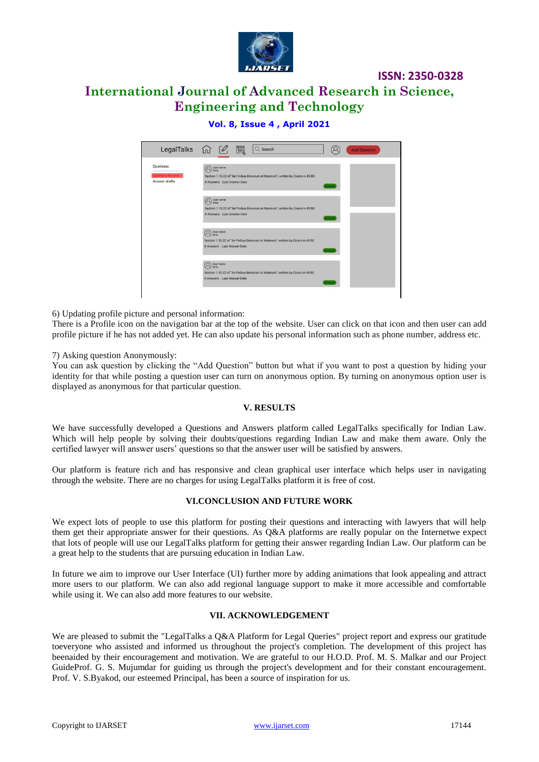

# **International Journal of Advanced Research in Science, Engineering and Technology**

#### **Vol. 8, Issue 4 , April 2021**

|                                                                                                                                   |                                    | <b>Add Question</b> |
|-----------------------------------------------------------------------------------------------------------------------------------|------------------------------------|---------------------|
| User name<br>time<br>Section 1.10.32 of "de Finibus Bonorum et Malorum", written by Cicero in 45 BC<br>8 Answers Last Answer Date | Answer                             |                     |
| User name<br>time<br>Section 1.10.32 of "de Finibus Bonorum et Malorum", written by Cicero in 45 BC<br>8 Answers Last Answer Date | Answer                             |                     |
| User name<br>time<br>Section 1.10.32 of 'de Finibus Bonorum et Malorum', written by Cicero in 45 BC<br>8 Answers Last Answer Date | Answe                              |                     |
| User name<br>time<br>Section 1.10.32 of 'de Finibus Bonorum et Malorum', written by Cicero in 45 BC<br>8 Answers Last Answer Date | Answer                             |                     |
|                                                                                                                                   | LegalTalks <i>for</i> 2 團 Q Search |                     |

6) Updating profile picture and personal information:

There is a Profile icon on the navigation bar at the top of the website. User can click on that icon and then user can add profile picture if he has not added yet. He can also update his personal information such as phone number, address etc.

#### 7) Asking question Anonymously:

You can ask question by clicking the "Add Question" button but what if you want to post a question by hiding your identity for that while posting a question user can turn on anonymous option. By turning on anonymous option user is displayed as anonymous for that particular question.

#### **V. RESULTS**

We have successfully developed a Questions and Answers platform called LegalTalks specifically for Indian Law. Which will help people by solving their doubts/questions regarding Indian Law and make them aware. Only the certified lawyer will answer users' questions so that the answer user will be satisfied by answers.

Our platform is feature rich and has responsive and clean graphical user interface which helps user in navigating through the website. There are no charges for using LegalTalks platform it is free of cost.

#### **VI.CONCLUSION AND FUTURE WORK**

We expect lots of people to use this platform for posting their questions and interacting with lawyers that will help them get their appropriate answer for their questions. As Q&A platforms are really popular on the Internetwe expect that lots of people will use our LegalTalks platform for getting their answer regarding Indian Law. Our platform can be a great help to the students that are pursuing education in Indian Law.

In future we aim to improve our User Interface (UI) further more by adding animations that look appealing and attract more users to our platform. We can also add regional language support to make it more accessible and comfortable while using it. We can also add more features to our website.

#### **VII. ACKNOWLEDGEMENT**

We are pleased to submit the "LegalTalks a Q&A Platform for Legal Queries" project report and express our gratitude toeveryone who assisted and informed us throughout the project's completion. The development of this project has beenaided by their encouragement and motivation. We are grateful to our H.O.D. Prof. M. S. Malkar and our Project GuideProf. G. S. Mujumdar for guiding us through the project's development and for their constant encouragement. Prof. V. S.Byakod, our esteemed Principal, has been a source of inspiration for us.